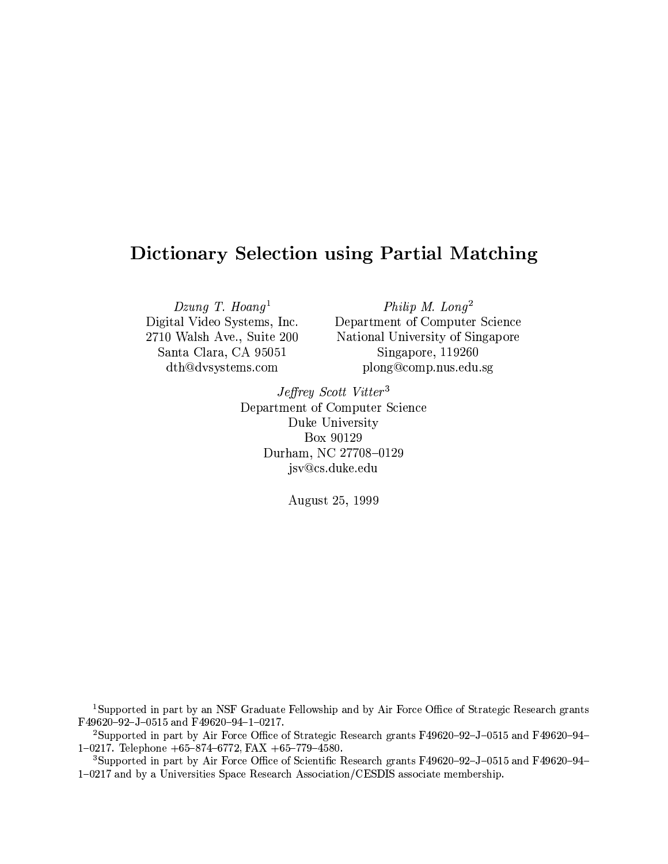# **Dictionary Selection using Partial Matching**

Dzung T. Hoang<sup>1</sup> Digital Video Systems, Inc. 2710 Walsh Ave., Suite 200 Santa Clara, CA 95051 dth@dvsystems.com

Philip M.  $Long<sup>2</sup>$ Department of Computer Science National University of Singapore Singapore, 119260 plong@comp.nus.edu.sg

Jeffrey Scott Vitter<sup>3</sup> Department of Computer Science Duke University Box 90129 Durham, NC 27708-0129 jsv@cs.duke.edu

August 25, 1999

<sup>1</sup>Supported in part by an NSF Graduate Fellowship and by Air Force Office of Strategic Research grants F49620-92-J-0515 and F49620-94-1-0217.

<sup>2</sup>Supported in part by Air Force Office of Strategic Research grants F49620-92-J-0515 and F49620-94-1-0217. Telephone  $+65-874-6772$ , FAX  $+65-779-4580$ .

<sup>3</sup>Supported in part by Air Force Office of Scientific Research grants F49620-92-J-0515 and F49620-94-1-0217 and by a Universities Space Research Association/CESDIS associate membership.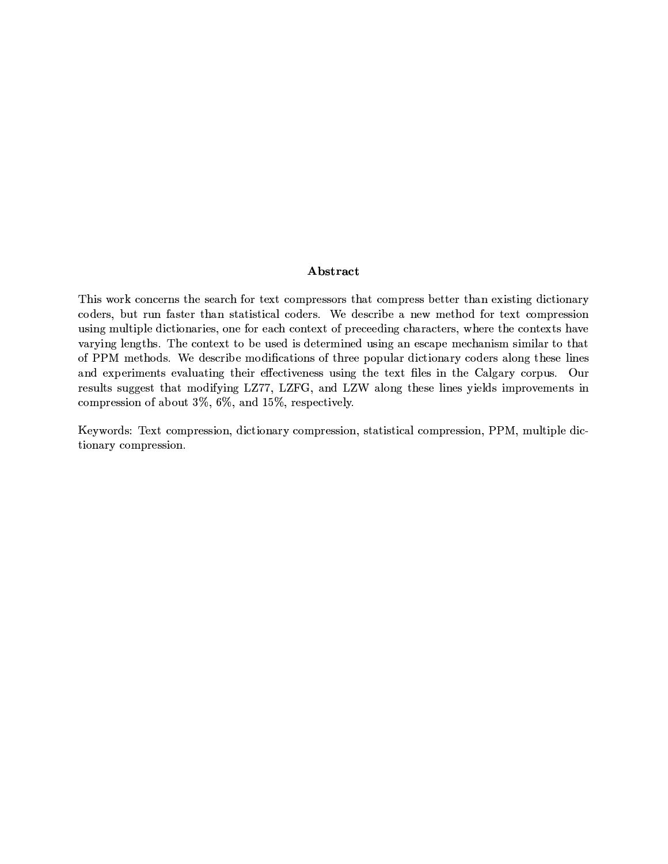# Abstract

This work concerns the search for text compressors that compress better than existing dictionary coders, but run faster than statistical coders. We describe a new method for text compression using multiple dictionaries, one for each context of preceeding characters, where the contexts have varying lengths. The context to be used is determined using an escape mechanism similar to that of PPM methods. We describe modifications of three popular dictionary coders along these lines and experiments evaluating their effectiveness using the text files in the Calgary corpus. Our results suggest that modifying LZ77, LZFG, and LZW along these lines yields improvements in compression of about 3%, 6%, and 15%, respectively.

Keywords: Text compression, dictionary compression, statistical compression, PPM, multiple dictionary compression.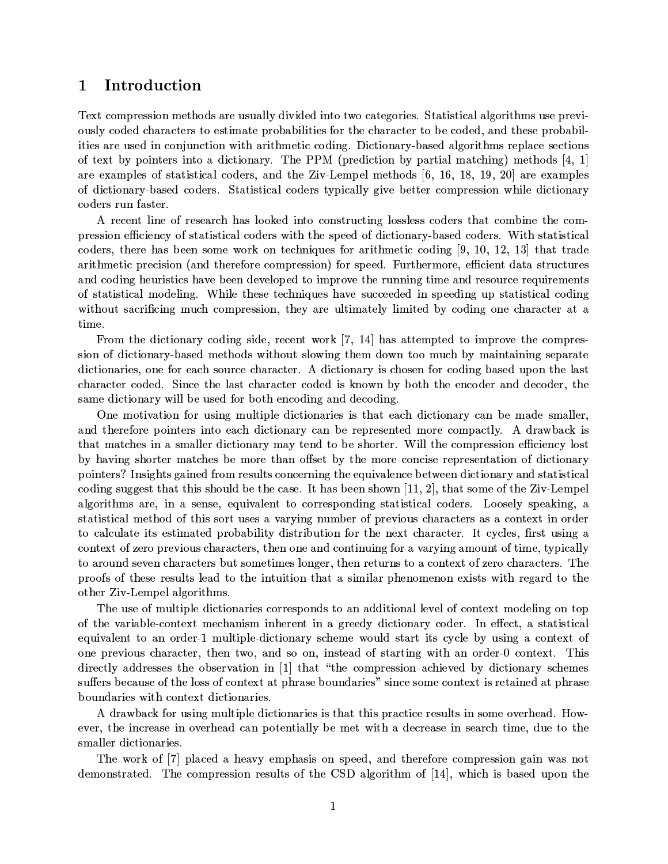### Introduction  $\mathbf{1}$

Text compression methods are usually divided into two categories. Statistical algorithms use previously coded characters to estimate probabilities for the character to be coded, and these probabilities are used in conjunction with arithmetic coding. Dictionary-based algorithms replace sections of text by pointers into a dictionary. The PPM (prediction by partial matching) methods [4, 1] are examples of statistical coders, and the Ziv-Lempel methods  $[6, 16, 18, 19, 20]$  are examples of dictionary-based coders. Statistical coders typically give better compression while dictionary coders run faster.

A recent line of research has looked into constructing lossless coders that combine the compression efficiency of statistical coders with the speed of dictionary-based coders. With statistical coders, there has been some work on techniques for arithmetic coding  $[9, 10, 12, 13]$  that trade arithmetic precision (and therefore compression) for speed. Furthermore, efficient data structures and coding heuristics have been developed to improve the running time and resource requirements of statistical modeling. While these techniques have succeeded in speeding up statistical coding without sacrificing much compression, they are ultimately limited by coding one character at a time.

From the dictionary coding side, recent work [7, 14] has attempted to improve the compression of dictionary-based methods without slowing them down too much by maintaining separate dictionaries, one for each source character. A dictionary is chosen for coding based upon the last character coded. Since the last character coded is known by both the encoder and decoder, the same dictionary will be used for both encoding and decoding.

One motivation for using multiple dictionaries is that each dictionary can be made smaller, and therefore pointers into each dictionary can be represented more compactly. A drawback is that matches in a smaller dictionary may tend to be shorter. Will the compression efficiency lost by having shorter matches be more than offset by the more concise representation of dictionary pointers? Insights gained from results concerning the equivalence between dictionary and statistical coding suggest that this should be the case. It has been shown  $[11, 2]$ , that some of the Ziv-Lempel algorithms are, in a sense, equivalent to corresponding statistical coders. Loosely speaking, a statistical method of this sort uses a varying number of previous characters as a context in order to calculate its estimated probability distribution for the next character. It cycles, first using a context of zero previous characters, then one and continuing for a varying amount of time, typically to around seven characters but sometimes longer, then returns to a context of zero characters. The proofs of these results lead to the intuition that a similar phenomenon exists with regard to the other Ziv-Lempel algorithms.

The use of multiple dictionaries corresponds to an additional level of context modeling on top of the variable-context mechanism inherent in a greedy dictionary coder. In effect, a statistical equivalent to an order-1 multiple-dictionary scheme would start its cycle by using a context of one previous character, then two, and so on, instead of starting with an order-0 context. This directly addresses the observation in [1] that "the compression achieved by dictionary schemes suffers because of the loss of context at phrase boundaries" since some context is retained at phrase boundaries with context dictionaries.

A drawback for using multiple dictionaries is that this practice results in some overhead. However, the increase in overhead can potentially be met with a decrease in search time, due to the smaller dictionaries.

The work of [7] placed a heavy emphasis on speed, and therefore compression gain was not demonstrated. The compression results of the CSD algorithm of [14], which is based upon the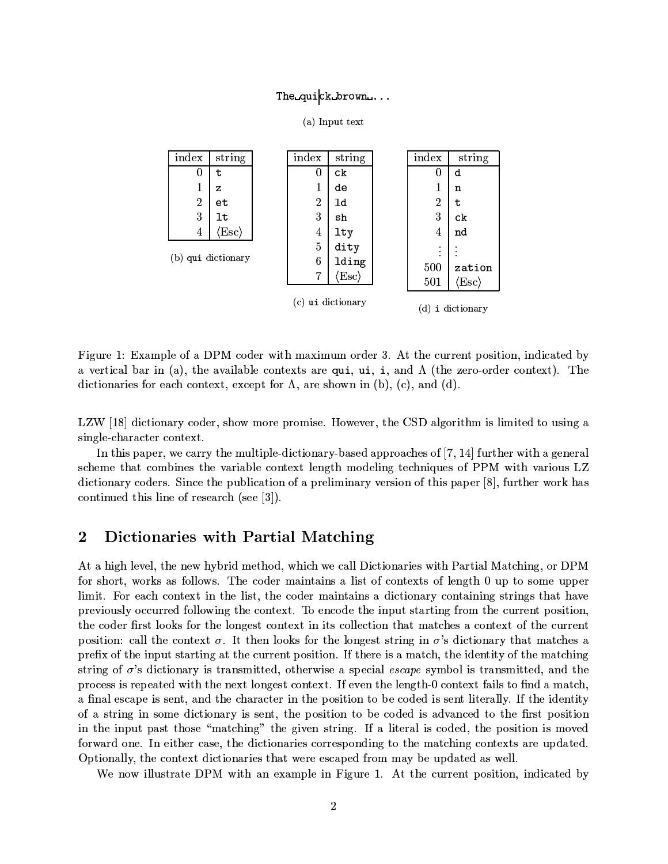# The\_quick\_brown...

(a) Input text

|                      | index            | string        |                | index            | string                         | index          | string       |
|----------------------|------------------|---------------|----------------|------------------|--------------------------------|----------------|--------------|
|                      | 0                | t             |                | 0                | c <sub>k</sub>                 | 0              | d            |
|                      | 1                | z             |                | 1                | de                             | 1              | n            |
|                      | $\boldsymbol{2}$ | еt            |                | $\overline{2}$   | ld                             | $\overline{2}$ | t            |
|                      | 3                | lt            |                | 3                | sh                             | 3              | ck           |
|                      | 4                | $ Esc\rangle$ |                | 4                | 1 <sub>ty</sub>                | 4              | nd           |
| (b) qui dictionary   |                  |               | $\overline{5}$ | dity             | ٠<br>$\bullet$                 |                |              |
|                      |                  |               |                | $\boldsymbol{6}$ | lding                          | 500            | zation       |
|                      |                  |               |                | 7                | $\langle \mathrm{Esc} \rangle$ | 501            | $\text{Esc}$ |
| ui dictionary<br>(c) |                  |               |                |                  |                                | d)<br>i        | dictionary   |

Figure 1: Example of a DPM coder with maximum order 3. At the current position, indicated by a vertical bar in (a), the available contexts are qui, ui, i, and  $\Lambda$  (the zero-order context). The dictionaries for each context, except for  $\Lambda$ , are shown in (b), (c), and (d).

LZW [18] dictionary coder, show more promise. However, the CSD algorithm is limited to using a single-character context.

In this paper, we carry the multiple-dictionary-based approaches of [7, 14] further with a general scheme that combines the variable context length modeling techniques of PPM with various LZ dictionary coders. Since the publication of a preliminary version of this paper  $[8]$ , further work has continued this line of research (see [3]).

## $\bf{2}$ Dictionaries with Partial Matching

At a high level, the new hybrid method, which we call Dictionaries with Partial Matching, or DPM for short, works as follows. The coder maintains a list of contexts of length 0 up to some upper limit. For each context in the list, the coder maintains a dictionary containing strings that have previously occurred following the context. To encode the input starting from the current position, the coder first looks for the longest context in its collection that matches a context of the current position: call the context  $\sigma$ . It then looks for the longest string in  $\sigma$ 's dictionary that matches a prefix of the input starting at the current position. If there is a match, the identity of the matching string of  $\sigma$ 's dictionary is transmitted, otherwise a special *escape* symbol is transmitted, and the process is repeated with the next longest context. If even the length-0 context fails to find a match. a final escape is sent, and the character in the position to be coded is sent literally. If the identity of a string in some dictionary is sent, the position to be coded is advanced to the first position in the input past those "matching" the given string. If a literal is coded, the position is moved forward one. In either case, the dictionaries corresponding to the matching contexts are updated. Optionally, the context dictionaries that were escaped from may be updated as well.

We now illustrate DPM with an example in Figure 1. At the current position, indicated by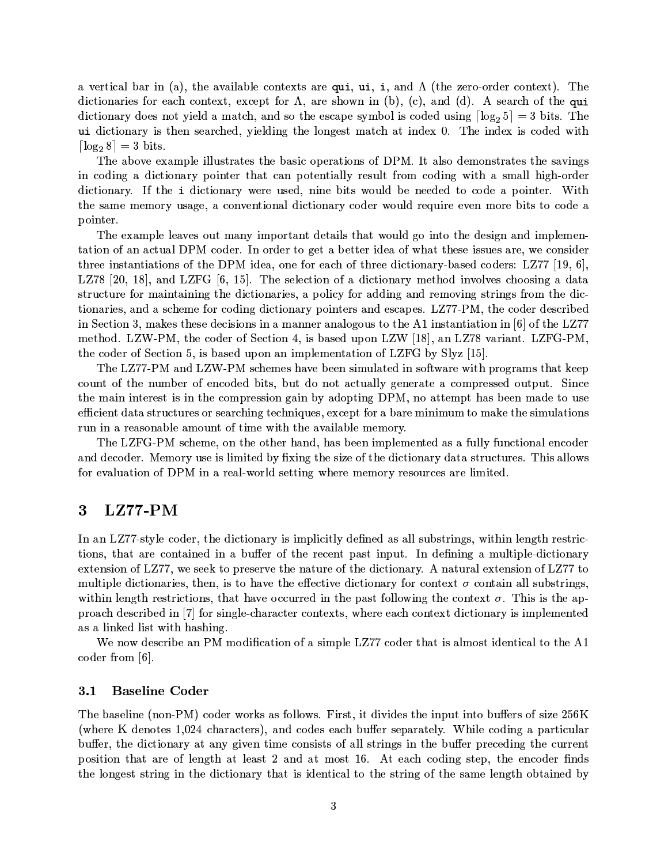a vertical bar in (a), the available contexts are qui, ui, i, and  $\Lambda$  (the zero-order context). The dictionaries for each context, except for  $\Lambda$ , are shown in (b), (c), and (d). A search of the qui dictionary does not yield a match, and so the escape symbol is coded using  $\lceil \log_2 5 \rceil = 3$  bits. The ui dictionary is then searched, yielding the longest match at index 0. The index is coded with  $\lceil \log_2 8 \rceil = 3$  bits.

The above example illustrates the basic operations of DPM. It also demonstrates the savings in coding a dictionary pointer that can potentially result from coding with a small high-order dictionary. If the i dictionary were used, nine bits would be needed to code a pointer. With the same memory usage, a conventional dictionary coder would require even more bits to code a pointer.

The example leaves out many important details that would go into the design and implementation of an actual DPM coder. In order to get a better idea of what these issues are, we consider three instantiations of the DPM idea, one for each of three dictionary-based coders: LZ77 [19, 6], LZ78 [20, 18], and LZFG [6, 15]. The selection of a dictionary method involves choosing a data structure for maintaining the dictionaries, a policy for adding and removing strings from the dictionaries, and a scheme for coding dictionary pointers and escapes. LZ77-PM, the coder described in Section 3, makes these decisions in a manner analogous to the A1 instantiation in [6] of the LZ77 method. LZW-PM, the coder of Section 4, is based upon LZW [18], an LZ78 variant. LZFG-PM. the coder of Section 5, is based upon an implementation of LZFG by Slyz [15].

The LZ77-PM and LZW-PM schemes have been simulated in software with programs that keep count of the number of encoded bits, but do not actually generate a compressed output. Since the main interest is in the compression gain by adopting DPM, no attempt has been made to use efficient data structures or searching techniques, except for a bare minimum to make the simulations run in a reasonable amount of time with the available memory.

The LZFG-PM scheme, on the other hand, has been implemented as a fully functional encoder and decoder. Memory use is limited by fixing the size of the dictionary data structures. This allows for evaluation of DPM in a real-world setting where memory resources are limited.

### $LZ77-PM$ 3

In an LZ77-style coder, the dictionary is implicitly defined as all substrings, within length restrictions, that are contained in a buffer of the recent past input. In defining a multiple-dictionary extension of LZ77, we seek to preserve the nature of the dictionary. A natural extension of LZ77 to multiple dictionaries, then, is to have the effective dictionary for context  $\sigma$  contain all substrings. within length restrictions, that have occurred in the past following the context  $\sigma$ . This is the approach described in [7] for single-character contexts, where each context dictionary is implemented as a linked list with hashing.

We now describe an PM modification of a simple LZ77 coder that is almost identical to the A1 coder from  $[6]$ .

#### $3.1$ **Baseline Coder**

The baseline (non-PM) coder works as follows. First, it divides the input into buffers of size 256K (where K denotes 1,024 characters), and codes each buffer separately. While coding a particular buffer, the dictionary at any given time consists of all strings in the buffer preceding the current position that are of length at least 2 and at most 16. At each coding step, the encoder finds the longest string in the dictionary that is identical to the string of the same length obtained by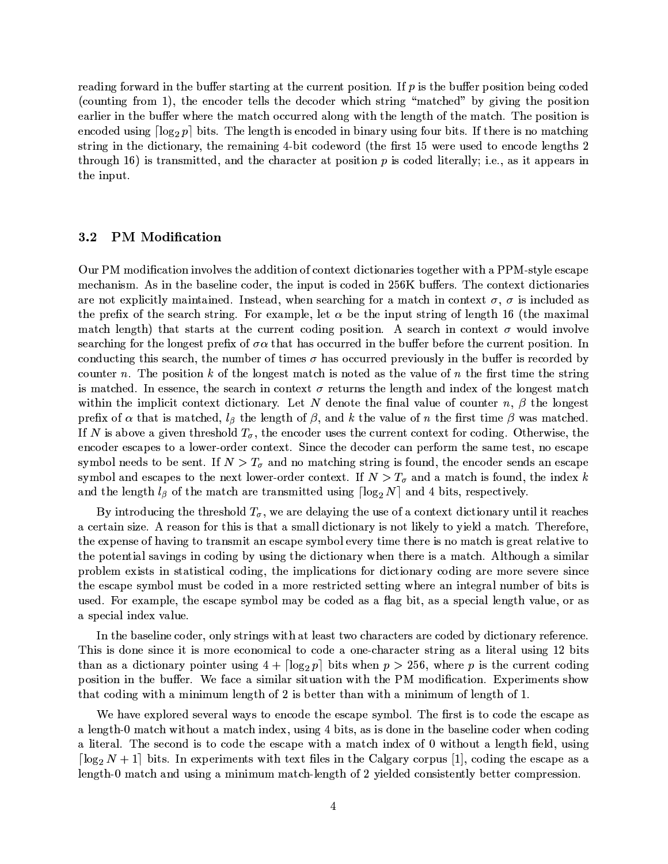reading forward in the buffer starting at the current position. If  $p$  is the buffer position being coded (counting from 1), the encoder tells the decoder which string "matched" by giving the position earlier in the buffer where the match occurred along with the length of the match. The position is encoded using  $\lceil \log_2 p \rceil$  bits. The length is encoded in binary using four bits. If there is no matching string in the dictionary, the remaining 4-bit codeword (the first 15 were used to encode lengths 2 through 16) is transmitted, and the character at position  $p$  is coded literally; i.e., as it appears in the input.

#### **PM** Modification  $3.2\,$

Our PM modification involves the addition of context dictionaries together with a PPM-style escape mechanism. As in the baseline coder, the input is coded in 256K buffers. The context dictionaries are not explicitly maintained. Instead, when searching for a match in context  $\sigma$ ,  $\sigma$  is included as the prefix of the search string. For example, let  $\alpha$  be the input string of length 16 (the maximal match length) that starts at the current coding position. A search in context  $\sigma$  would involve searching for the longest prefix of  $\sigma \alpha$  that has occurred in the buffer before the current position. In conducting this search, the number of times  $\sigma$  has occurred previously in the buffer is recorded by counter n. The position k of the longest match is noted as the value of n the first time the string is matched. In essence, the search in context  $\sigma$  returns the length and index of the longest match within the implicit context dictionary. Let N denote the final value of counter n,  $\beta$  the longest prefix of  $\alpha$  that is matched,  $l_{\beta}$  the length of  $\beta$ , and k the value of n the first time  $\beta$  was matched. If N is above a given threshold  $T_{\sigma}$ , the encoder uses the current context for coding. Otherwise, the encoder escapes to a lower-order context. Since the decoder can perform the same test, no escape symbol needs to be sent. If  $N > T_{\sigma}$  and no matching string is found, the encoder sends an escape symbol and escapes to the next lower-order context. If  $N > T_{\sigma}$  and a match is found, the index k and the length  $l_{\beta}$  of the match are transmitted using  $\lceil \log_2 N \rceil$  and 4 bits, respectively.

By introducing the threshold  $T_{\sigma}$ , we are delaying the use of a context dictionary until it reaches a certain size. A reason for this is that a small dictionary is not likely to yield a match. Therefore, the expense of having to transmit an escape symbol every time there is no match is great relative to the potential savings in coding by using the dictionary when there is a match. Although a similar problem exists in statistical coding, the implications for dictionary coding are more severe since the escape symbol must be coded in a more restricted setting where an integral number of bits is used. For example, the escape symbol may be coded as a flag bit, as a special length value, or as a special index value.

In the baseline coder, only strings with at least two characters are coded by dictionary reference. This is done since it is more economical to code a one-character string as a literal using 12 bits than as a dictionary pointer using  $4 + \lceil \log_2 p \rceil$  bits when  $p > 256$ , where p is the current coding position in the buffer. We face a similar situation with the PM modification. Experiments show that coding with a minimum length of 2 is better than with a minimum of length of 1.

We have explored several ways to encode the escape symbol. The first is to code the escape as a length-0 match without a match index, using 4 bits, as is done in the baseline coder when coding a literal. The second is to code the escape with a match index of 0 without a length field, using  $\lceil \log_2 N + 1 \rceil$  bits. In experiments with text files in the Calgary corpus [1], coding the escape as a length-0 match and using a minimum match-length of 2 yielded consistently better compression.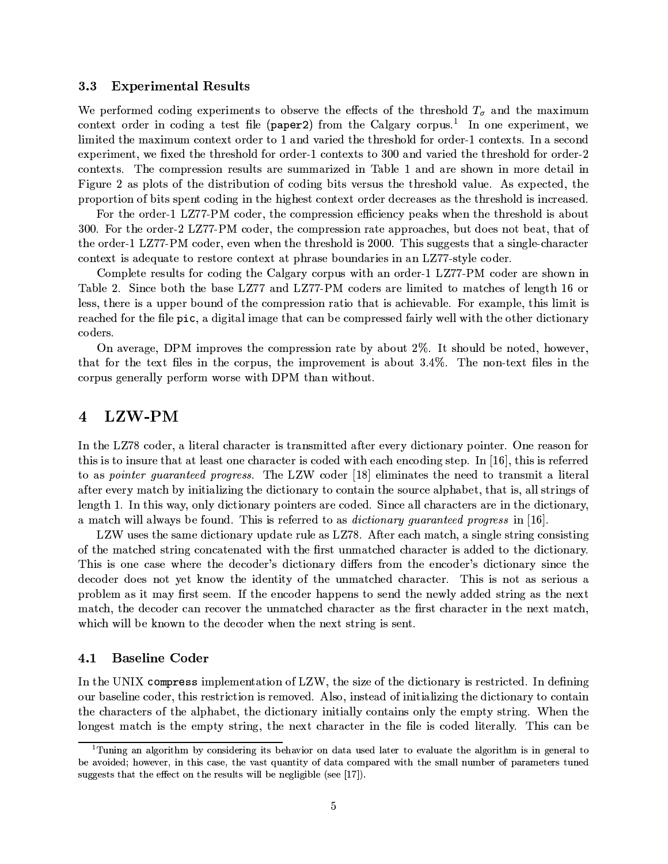#### **Experimental Results** 3.3

We performed coding experiments to observe the effects of the threshold  $T_{\sigma}$  and the maximum context order in coding a test file (paper2) from the Calgary corpus.<sup>1</sup> In one experiment, we limited the maximum context order to 1 and varied the threshold for order-1 contexts. In a second experiment, we fixed the threshold for order-1 contexts to 300 and varied the threshold for order-2 contexts. The compression results are summarized in Table 1 and are shown in more detail in Figure 2 as plots of the distribution of coding bits versus the threshold value. As expected, the proportion of bits spent coding in the highest context order decreases as the threshold is increased.

For the order-1 LZ77-PM coder, the compression efficiency peaks when the threshold is about 300. For the order-2 LZ77-PM coder, the compression rate approaches, but does not beat, that of the order-1 LZ77-PM coder, even when the threshold is 2000. This suggests that a single-character context is adequate to restore context at phrase boundaries in an LZ77-style coder.

Complete results for coding the Calgary corpus with an order-1 LZ77-PM coder are shown in Table 2. Since both the base LZ77 and LZ77-PM coders are limited to matches of length 16 or less, there is a upper bound of the compression ratio that is achievable. For example, this limit is reached for the file pic, a digital image that can be compressed fairly well with the other dictionary coders.

On average, DPM improves the compression rate by about 2%. It should be noted, however, that for the text files in the corpus, the improvement is about 3.4%. The non-text files in the corpus generally perform worse with DPM than without.

### LZW-PM  $\overline{4}$

In the LZ78 coder, a literal character is transmitted after every dictionary pointer. One reason for this is to insure that at least one character is coded with each encoding step. In  $[16]$ , this is referred to as *pointer quaranteed progress*. The LZW coder [18] eliminates the need to transmit a literal after every match by initializing the dictionary to contain the source alphabet, that is, all strings of length 1. In this way, only dictionary pointers are coded. Since all characters are in the dictionary, a match will always be found. This is referred to as *dictionary guaranteed progress* in [16].

LZW uses the same dictionary update rule as LZ78. After each match, a single string consisting of the matched string concatenated with the first unmatched character is added to the dictionary. This is one case where the decoder's dictionary differs from the encoder's dictionary since the decoder does not yet know the identity of the unmatched character. This is not as serious a problem as it may first seem. If the encoder happens to send the newly added string as the next match, the decoder can recover the unmatched character as the first character in the next match, which will be known to the decoder when the next string is sent.

#### $4.1$ **Baseline Coder**

In the UNIX compress implementation of LZW, the size of the dictionary is restricted. In defining our baseline coder, this restriction is removed. Also, instead of initializing the dictionary to contain the characters of the alphabet, the dictionary initially contains only the empty string. When the longest match is the empty string, the next character in the file is coded literally. This can be

<sup>&</sup>lt;sup>1</sup>Tuning an algorithm by considering its behavior on data used later to evaluate the algorithm is in general to be avoided; however, in this case, the vast quantity of data compared with the small number of parameters tuned suggests that the effect on the results will be negligible (see [17]).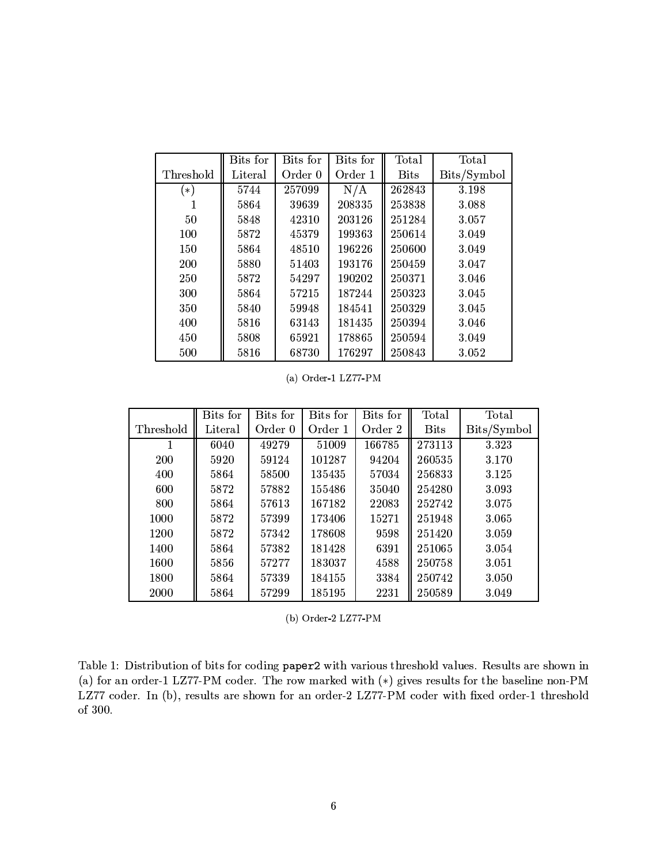|           | Bits for | Bits for | Bits for | Total       | Total       |
|-----------|----------|----------|----------|-------------|-------------|
| Threshold | Literal  | Order 0  | Order 1  | <b>Bits</b> | Bits/Symbol |
| $(\ast)$  | 5744     | 257099   | N/A      | 262843      | 3.198       |
|           | 5864     | 39639    | 208335   | 253838      | 3.088       |
| 50        | 5848     | 42310    | 203126   | 251284      | 3.057       |
| 100       | 5872     | 45379    | 199363   | 250614      | 3.049       |
| 150       | 5864     | 48510    | 196226   | 250600      | 3.049       |
| 200       | 5880     | 51403    | 193176   | 250459      | 3.047       |
| 250       | 5872     | 54297    | 190202   | 250371      | 3.046       |
| 300       | 5864     | 57215    | 187244   | 250323      | 3.045       |
| 350       | 5840     | 59948    | 184541   | 250329      | 3.045       |
| 400       | 5816     | 63143    | 181435   | 250394      | 3.046       |
| 450       | 5808     | 65921    | 178865   | 250594      | 3.049       |
| 500       | 5816     | 68730    | 176297   | 250843      | 3.052       |

(a) Order-1 LZ77-PM

|           | Bits for | Bits for | Bits for | Bits for | Total       | Total       |
|-----------|----------|----------|----------|----------|-------------|-------------|
| Threshold | Literal  | Order 0  | Order 1  | Order 2  | <b>Bits</b> | Bits/Symbol |
|           | 6040     | 49279    | 51009    | 166785   | 273113      | 3.323       |
| 200       | 5920     | 59124    | 101287   | 94204    | 260535      | 3.170       |
| 400       | 5864     | 58500    | 135435   | 57034    | 256833      | 3.125       |
| 600       | 5872     | 57882    | 155486   | 35040    | 254280      | 3.093       |
| 800       | 5864     | 57613    | 167182   | 22083    | 252742      | 3.075       |
| 1000      | 5872     | 57399    | 173406   | 15271    | 251948      | 3.065       |
| 1200      | 5872     | 57342    | 178608   | 9598     | 251420      | 3.059       |
| 1400      | 5864     | 57382    | 181428   | 6391     | 251065      | 3.054       |
| 1600      | 5856     | 57277    | 183037   | 4588     | 250758      | 3.051       |
| 1800      | 5864     | 57339    | 184155   | 3384     | 250742      | 3.050       |
| 2000      | 5864     | 57299    | 185195   | 2231     | 250589      | 3.049       |

(b) Order-2 LZ77-PM

Table 1: Distribution of bits for coding paper2 with various threshold values. Results are shown in (a) for an order-1 LZ77-PM coder. The row marked with  $(*)$  gives results for the baseline non-PM LZ77 coder. In (b), results are shown for an order-2 LZ77-PM coder with fixed order-1 threshold of  $300$ .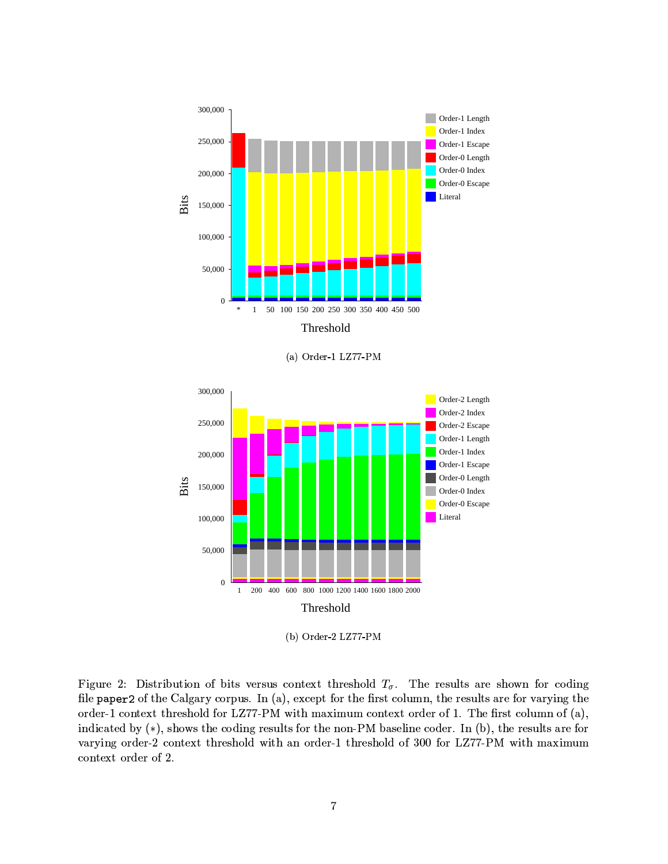

(a) Order-1 LZ77-PM



(b) Order-2  $LZ77-PM$ 

Figure 2: Distribution of bits versus context threshold  $T_{\sigma}$ . The results are shown for coding file paper2 of the Calgary corpus. In (a), except for the first column, the results are for varying the order-1 context threshold for LZ77-PM with maximum context order of 1. The first column of (a), indicated by  $(*)$ , shows the coding results for the non-PM baseline coder. In (b), the results are for varying order-2 context threshold with an order-1 threshold of 300 for LZ77-PM with maximum context order of 2.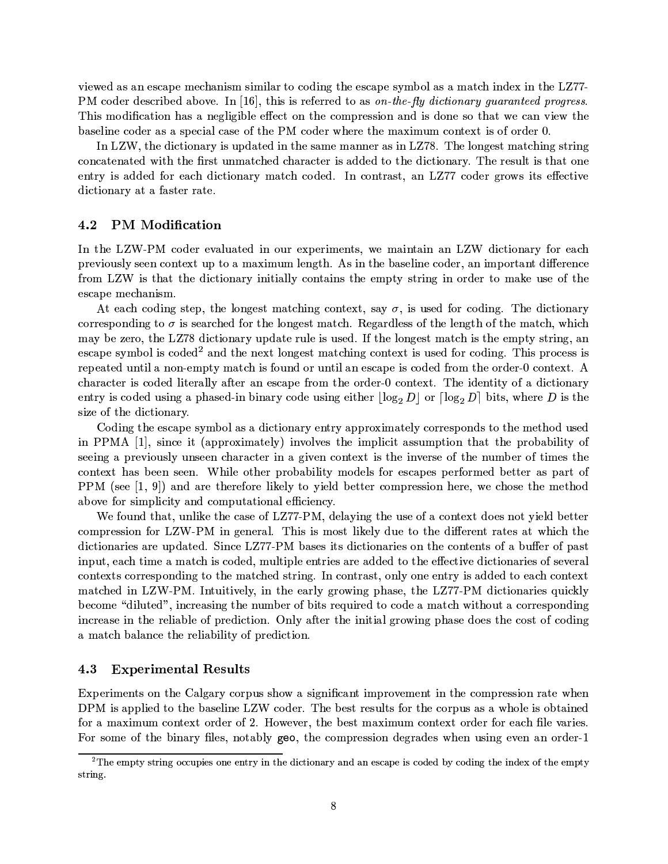viewed as an escape mechanism similar to coding the escape symbol as a match index in the LZ77-PM coder described above. In [16], this is referred to as on-the-fly dictionary guaranteed progress. This modification has a negligible effect on the compression and is done so that we can view the baseline coder as a special case of the PM coder where the maximum context is of order 0.

In LZW, the dictionary is updated in the same manner as in LZ78. The longest matching string concatenated with the first unmatched character is added to the dictionary. The result is that one entry is added for each dictionary match coded. In contrast, an LZ77 coder grows its effective dictionary at a faster rate.

#### 4.2 **PM** Modification

In the LZW-PM coder evaluated in our experiments, we maintain an LZW dictionary for each previously seen context up to a maximum length. As in the baseline coder, an important difference from LZW is that the dictionary initially contains the empty string in order to make use of the escape mechanism.

At each coding step, the longest matching context, say  $\sigma$ , is used for coding. The dictionary corresponding to  $\sigma$  is searched for the longest match. Regardless of the length of the match, which may be zero, the LZ78 dictionary update rule is used. If the longest match is the empty string, an escape symbol is coded<sup>2</sup> and the next longest matching context is used for coding. This process is repeated until a non-empty match is found or until an escape is coded from the order-0 context. A character is coded literally after an escape from the order-0 context. The identity of a dictionary entry is coded using a phased-in binary code using either  $\lfloor \log_2 D \rfloor$  or  $\lceil \log_2 D \rceil$  bits, where D is the size of the dictionary.

Coding the escape symbol as a dictionary entry approximately corresponds to the method used in PPMA [1], since it (approximately) involves the implicit assumption that the probability of seeing a previously unseen character in a given context is the inverse of the number of times the context has been seen. While other probability models for escapes performed better as part of PPM (see  $[1, 9]$ ) and are therefore likely to yield better compression here, we chose the method above for simplicity and computational efficiency.

We found that, unlike the case of LZ77-PM, delaying the use of a context does not yield better compression for LZW-PM in general. This is most likely due to the different rates at which the dictionaries are updated. Since LZ77-PM bases its dictionaries on the contents of a buffer of past input, each time a match is coded, multiple entries are added to the effective dictionaries of several contexts corresponding to the matched string. In contrast, only one entry is added to each context matched in LZW-PM. Intuitively, in the early growing phase, the LZ77-PM dictionaries quickly become "diluted", increasing the number of bits required to code a match without a corresponding increase in the reliable of prediction. Only after the initial growing phase does the cost of coding a match balance the reliability of prediction.

#### **Experimental Results** 4.3

Experiments on the Calgary corpus show a significant improvement in the compression rate when DPM is applied to the baseline LZW coder. The best results for the corpus as a whole is obtained for a maximum context order of 2. However, the best maximum context order for each file varies. For some of the binary files, notably goo, the compression degrades when using even an order-1

 $2$ The empty string occupies one entry in the dictionary and an escape is coded by coding the index of the empty string.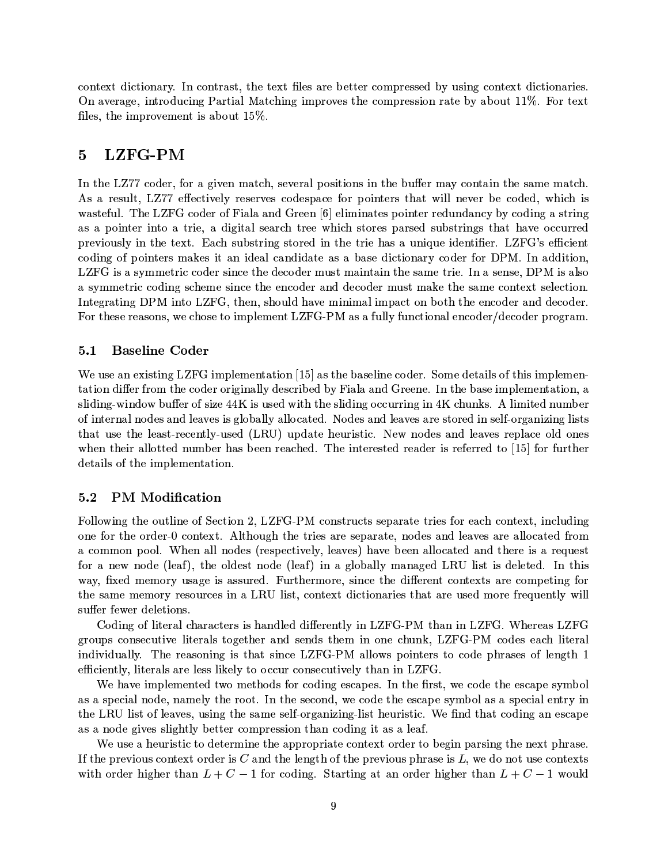context dictionary. In contrast, the text files are better compressed by using context dictionaries. On average, introducing Partial Matching improves the compression rate by about 11%. For text files, the improvement is about 15%.

# LZFG-PM  $\overline{5}$

In the LZ77 coder, for a given match, several positions in the buffer may contain the same match. As a result, LZ77 effectively reserves codespace for pointers that will never be coded, which is wasteful. The LZFG coder of Fiala and Green [6] eliminates pointer redundancy by coding a string as a pointer into a trie, a digital search tree which stores parsed substrings that have occurred previously in the text. Each substring stored in the trie has a unique identifier. LZFG's efficient coding of pointers makes it an ideal candidate as a base dictionary coder for DPM. In addition, LZFG is a symmetric coder since the decoder must maintain the same trie. In a sense, DPM is also a symmetric coding scheme since the encoder and decoder must make the same context selection. Integrating DPM into LZFG, then, should have minimal impact on both the encoder and decoder. For these reasons, we chose to implement LZFG-PM as a fully functional encoder/decoder program.

#### $5.1$ **Baseline Coder**

We use an existing LZFG implementation [15] as the baseline coder. Some details of this implementation differ from the coder originally described by Fiala and Greene. In the base implementation, a sliding-window buffer of size 44K is used with the sliding occurring in 4K chunks. A limited number of internal nodes and leaves is globally allocated. Nodes and leaves are stored in self-organizing lists that use the least-recently-used (LRU) update heuristic. New nodes and leaves replace old ones when their allotted number has been reached. The interested reader is referred to [15] for further details of the implementation.

#### $5.2$ **PM** Modification

Following the outline of Section 2, LZFG-PM constructs separate tries for each context, including one for the order-0 context. Although the tries are separate, nodes and leaves are allocated from a common pool. When all nodes (respectively, leaves) have been allocated and there is a request for a new node (leaf), the oldest node (leaf) in a globally managed LRU list is deleted. In this way, fixed memory usage is assured. Furthermore, since the different contexts are competing for the same memory resources in a LRU list, context dictionaries that are used more frequently will suffer fewer deletions.

Coding of literal characters is handled differently in LZFG-PM than in LZFG. Whereas LZFG groups consecutive literals together and sends them in one chunk, LZFG-PM codes each literal individually. The reasoning is that since LZFG-PM allows pointers to code phrases of length 1 efficiently, literals are less likely to occur consecutively than in LZFG.

We have implemented two methods for coding escapes. In the first, we code the escape symbol as a special node, namely the root. In the second, we code the escape symbol as a special entry in the LRU list of leaves, using the same self-organizing-list heuristic. We find that coding an escape as a node gives slightly better compression than coding it as a leaf.

We use a heuristic to determine the appropriate context order to begin parsing the next phrase. If the previous context order is C and the length of the previous phrase is  $L$ , we do not use contexts with order higher than  $L + C - 1$  for coding. Starting at an order higher than  $L + C - 1$  would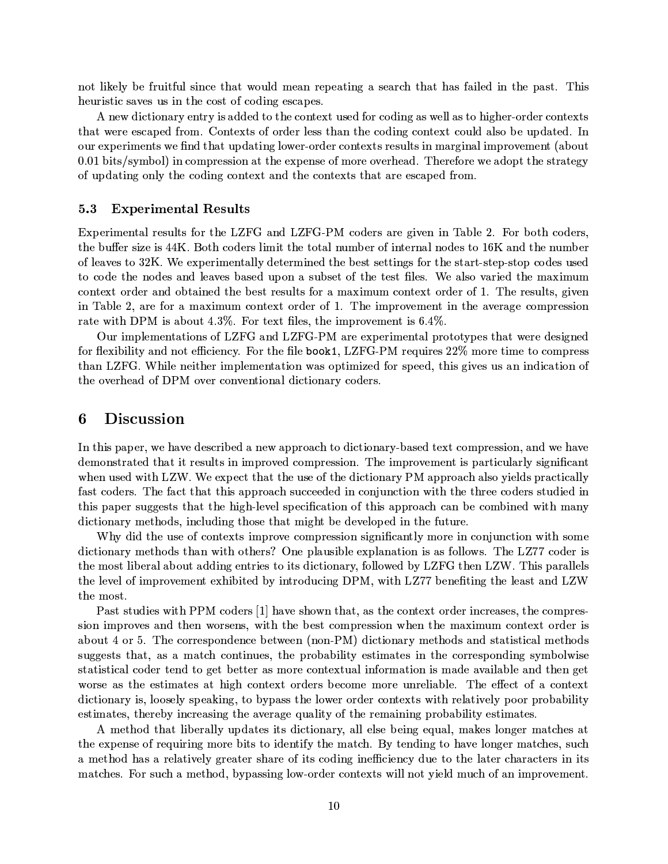not likely be fruitful since that would mean repeating a search that has failed in the past. This heuristic saves us in the cost of coding escapes.

A new dictionary entry is added to the context used for coding as well as to higher-order contexts that were escaped from. Contexts of order less than the coding context could also be updated. In our experiments we find that updating lower-order contexts results in marginal improvement (about 0.01 bits/symbol) in compression at the expense of more overhead. Therefore we adopt the strategy of updating only the coding context and the contexts that are escaped from.

#### **Experimental Results** 5.3

Experimental results for the LZFG and LZFG-PM coders are given in Table 2. For both coders, the buffer size is 44K. Both coders limit the total number of internal nodes to 16K and the number of leaves to 32K. We experimentally determined the best settings for the start-step-stop codes used to code the nodes and leaves based upon a subset of the test files. We also varied the maximum context order and obtained the best results for a maximum context order of 1. The results, given in Table 2, are for a maximum context order of 1. The improvement in the average compression rate with DPM is about 4.3%. For text files, the improvement is  $6.4\%$ .

Our implementations of LZFG and LZFG-PM are experimental prototypes that were designed for flexibility and not efficiency. For the file book1, LZFG-PM requires 22% more time to compress than LZFG. While neither implementation was optimized for speed, this gives us an indication of the overhead of DPM over conventional dictionary coders.

#### 6 **Discussion**

In this paper, we have described a new approach to dictionary-based text compression, and we have demonstrated that it results in improved compression. The improvement is particularly significant when used with LZW. We expect that the use of the dictionary PM approach also yields practically fast coders. The fact that this approach succeeded in conjunction with the three coders studied in this paper suggests that the high-level specification of this approach can be combined with many dictionary methods, including those that might be developed in the future.

Why did the use of contexts improve compression significantly more in conjunction with some dictionary methods than with others? One plausible explanation is as follows. The LZ77 coder is the most liberal about adding entries to its dictionary, followed by LZFG then LZW. This parallels the level of improvement exhibited by introducing DPM, with LZ77 benefiting the least and LZW the most.

Past studies with PPM coders [1] have shown that, as the context order increases, the compression improves and then worsens, with the best compression when the maximum context order is about 4 or 5. The correspondence between (non-PM) dictionary methods and statistical methods suggests that, as a match continues, the probability estimates in the corresponding symbolwise statistical coder tend to get better as more contextual information is made available and then get worse as the estimates at high context orders become more unreliable. The effect of a context dictionary is, loosely speaking, to bypass the lower order contexts with relatively poor probability estimates, thereby increasing the average quality of the remaining probability estimates.

A method that liberally updates its dictionary, all else being equal, makes longer matches at the expense of requiring more bits to identify the match. By tending to have longer matches, such a method has a relatively greater share of its coding inefficiency due to the later characters in its matches. For such a method, bypassing low-order contexts will not yield much of an improvement.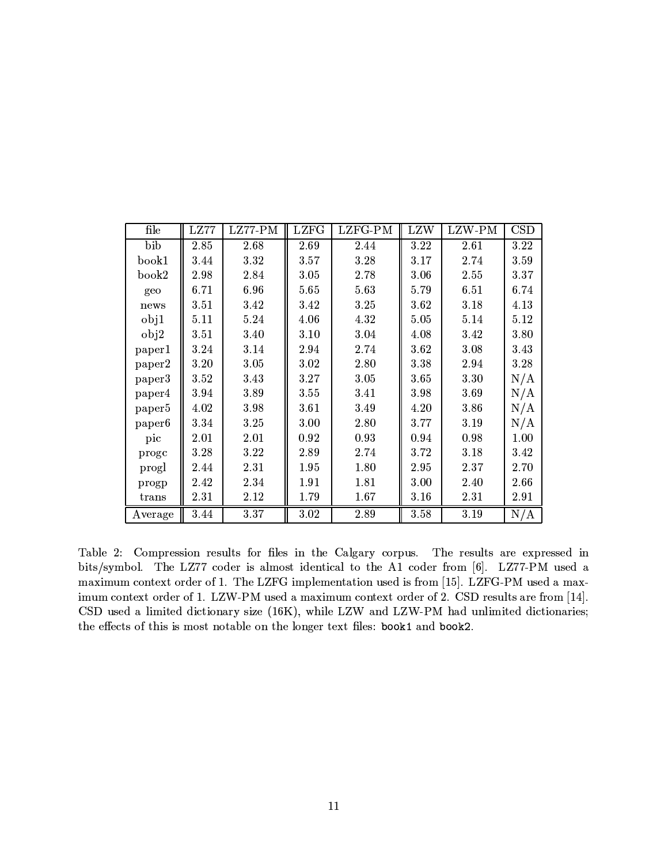| file               | LZ77     | LZ77-PM | <b>LZFG</b> | LZFG-PM | LZW      | LZW-PM | <b>CSD</b> |
|--------------------|----------|---------|-------------|---------|----------|--------|------------|
| bib                | 2.85     | 2.68    | 2.69        | 2.44    | 3.22     | 2.61   | 3.22       |
| book1              | 3.44     | 3.32    | 3.57        | 3.28    | 3.17     | 2.74   | 3.59       |
| book2              | 2.98     | 2.84    | 3.05        | 2.78    | $3.06\,$ | 2.55   | 3.37       |
| geo                | 6.71     | 6.96    | 5.65        | 5.63    | 5.79     | 6.51   | 6.74       |
| news               | 3.51     | 3.42    | 3.42        | 3.25    | 3.62     | 3.18   | 4.13       |
| obj1               | 5.11     | 5.24    | 4.06        | 4.32    | 5.05     | 5.14   | 5.12       |
| obj2               | 3.51     | 3.40    | 3.10        | 3.04    | 4.08     | 3.42   | 3.80       |
| paper1             | 3.24     | 3.14    | 2.94        | 2.74    | 3.62     | 3.08   | 3.43       |
| paper2             | 3.20     | 3.05    | 3.02        | 2.80    | 3.38     | 2.94   | 3.28       |
| paper3             | 3.52     | 3.43    | 3.27        | 3.05    | $3.65\,$ | 3.30   | N/A        |
| paper4             | $3.94\,$ | 3.89    | 3.55        | 3.41    | 3.98     | 3.69   | N/A        |
| paper <sub>5</sub> | 4.02     | 3.98    | 3.61        | 3.49    | 4.20     | 3.86   | N/A        |
| paper <sub>6</sub> | 3.34     | 3.25    | 3.00        | 2.80    | 3.77     | 3.19   | N/A        |
| pic                | 2.01     | 2.01    | 0.92        | 0.93    | 0.94     | 0.98   | 1.00       |
| proge              | 3.28     | 3.22    | 2.89        | 2.74    | 3.72     | 3.18   | 3.42       |
| progl              | 2.44     | 2.31    | $1.95\,$    | 1.80    | 2.95     | 2.37   | 2.70       |
| progp              | 2.42     | 2.34    | 1.91        | 1.81    | 3.00     | 2.40   | 2.66       |
| trans              | 2.31     | 2.12    | 1.79        | 1.67    | 3.16     | 2.31   | 2.91       |
| Average            | 3.44     | 3.37    | 3.02        | 2.89    | 3.58     | 3.19   | N/A        |

Table 2: Compression results for files in the Calgary corpus. The results are expressed in bits/symbol. The LZ77 coder is almost identical to the A1 coder from [6]. LZ77-PM used a maximum context order of 1. The LZFG implementation used is from [15]. LZFG-PM used a maximum context order of 1. LZW-PM used a maximum context order of 2. CSD results are from [14]. CSD used a limited dictionary size (16K), while LZW and LZW-PM had unlimited dictionaries; the effects of this is most notable on the longer text files: book1 and book2.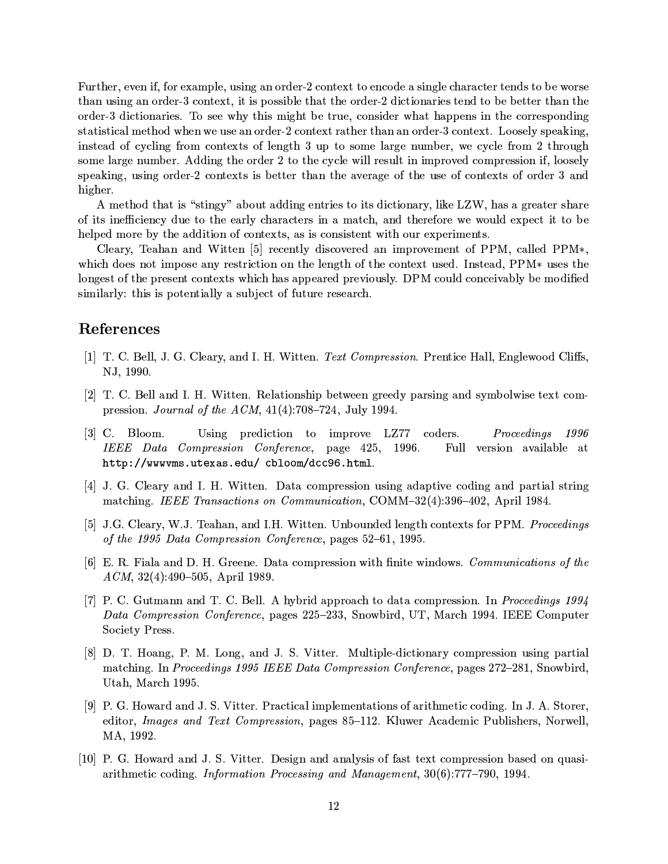Further, even if, for example, using an order-2 context to encode a single character tends to be worse than using an order-3 context, it is possible that the order-2 dictionaries tend to be better than the order-3 dictionaries. To see why this might be true, consider what happens in the corresponding statistical method when we use an order-2 context rather than an order-3 context. Loosely speaking, instead of cycling from contexts of length 3 up to some large number, we cycle from 2 through some large number. Adding the order 2 to the cycle will result in improved compression if, loosely speaking, using order-2 contexts is better than the average of the use of contexts of order 3 and higher.

A method that is "stingy" about adding entries to its dictionary, like LZW, has a greater share of its inefficiency due to the early characters in a match, and therefore we would expect it to be helped more by the addition of contexts, as is consistent with our experiments.

Cleary, Teahan and Witten [5] recently discovered an improvement of PPM, called PPM $*,$ which does not impose any restriction on the length of the context used. Instead, PPM\* uses the longest of the present contexts which has appeared previously. DPM could conceivably be modified similarly: this is potentially a subject of future research.

# References

- [1] T. C. Bell, J. G. Cleary, and I. H. Witten. Text Compression. Prentice Hall, Englewood Cliffs. NJ, 1990.
- [2] T. C. Bell and I. H. Witten. Relationship between greedy parsing and symbolwise text compression. *Journal of the ACM*,  $41(4):708-724$ , July 1994.
- $[3]$  C. Bloom. Using prediction to improve LZ77 coders. Proceedings 1996 IEEE Data Compression Conference, page 425, 1996. Full version available at http://wwwwms.utexas.edu/cbloom/dcc96.html.
- [4] J. G. Cleary and I. H. Witten. Data compression using adaptive coding and partial string matching. IEEE Transactions on Communication, COMM-32(4):396-402, April 1984.
- [5] J.G. Cleary, W.J. Teahan, and I.H. Witten. Unbounded length contexts for PPM. Proceedings of the 1995 Data Compression Conference, pages 52-61, 1995.
- [6] E. R. Fiala and D. H. Greene. Data compression with finite windows. *Communications of the*  $ACM$ , 32(4):490-505, April 1989.
- [7] P. C. Gutmann and T. C. Bell. A hybrid approach to data compression. In *Proceedings 1994* Data Compression Conference, pages 225–233, Snowbird, UT, March 1994. IEEE Computer Society Press.
- [8] D. T. Hoang, P. M. Long, and J. S. Vitter. Multiple-dictionary compression using partial matching. In Proceedings 1995 IEEE Data Compression Conference, pages 272-281, Snowbird, Utah, March 1995.
- [9] P. G. Howard and J. S. Vitter. Practical implementations of arithmetic coding. In J. A. Storer, editor, *Images and Text Compression*, pages 85–112. Kluwer Academic Publishers, Norwell, MA, 1992.
- [10] P. G. Howard and J. S. Vitter. Design and analysis of fast text compression based on quasiarithmetic coding. Information Processing and Management, 30(6):777-790, 1994.